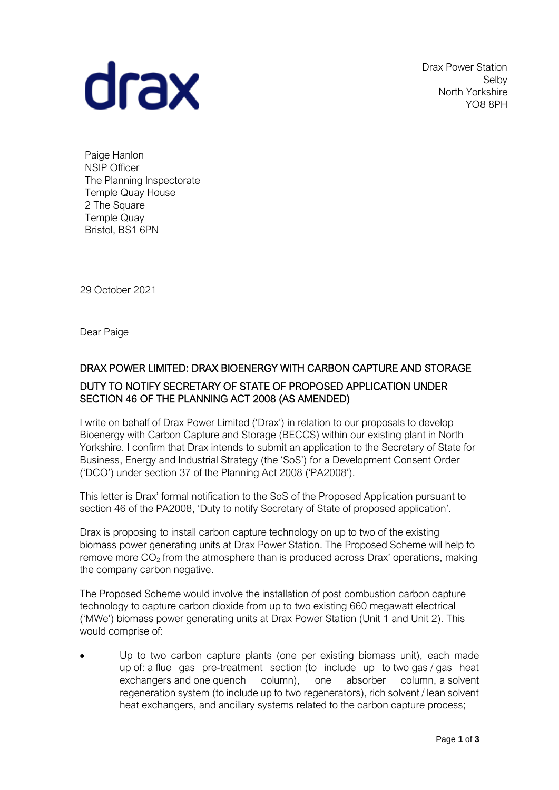

Drax Power Station Selby North Yorkshire YO8 8PH

Paige Hanlon NSIP Officer The Planning Inspectorate Temple Quay House 2 The Square Temple Quay Bristol, BS1 6PN

29 October 2021

Dear Paige

## DRAX POWER LIMITED: DRAX BIOENERGY WITH CARBON CAPTURE AND STORAGE DUTY TO NOTIFY SECRETARY OF STATE OF PROPOSED APPLICATION UNDER SECTION 46 OF THE PLANNING ACT 2008 (AS AMENDED)

I write on behalf of Drax Power Limited ('Drax') in relation to our proposals to develop Bioenergy with Carbon Capture and Storage (BECCS) within our existing plant in North Yorkshire. I confirm that Drax intends to submit an application to the Secretary of State for Business, Energy and Industrial Strategy (the 'SoS') for a Development Consent Order ('DCO') under section 37 of the Planning Act 2008 ('PA2008').

This letter is Drax' formal notification to the SoS of the Proposed Application pursuant to section 46 of the PA2008, 'Duty to notify Secretary of State of proposed application'.

Drax is proposing to install carbon capture technology on up to two of the existing biomass power generating units at Drax Power Station. The Proposed Scheme will help to remove more  $CO<sub>2</sub>$  from the atmosphere than is produced across Drax' operations, making the company carbon negative.

The Proposed Scheme would involve the installation of post combustion carbon capture technology to capture carbon dioxide from up to two existing 660 megawatt electrical ('MWe') biomass power generating units at Drax Power Station (Unit 1 and Unit 2). This would comprise of:

• Up to two carbon capture plants (one per existing biomass unit), each made up of: a flue gas pre-treatment section (to include up to two gas / gas heat exchangers and one quench column), one absorber column, a solvent regeneration system (to include up to two regenerators), rich solvent / lean solvent heat exchangers, and ancillary systems related to the carbon capture process: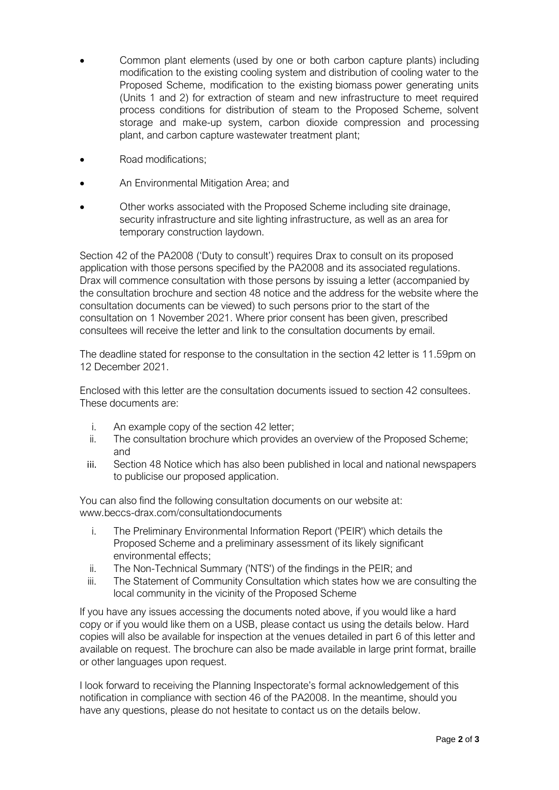- Common plant elements (used by one or both carbon capture plants) including modification to the existing cooling system and distribution of cooling water to the Proposed Scheme, modification to the existing biomass power generating units (Units 1 and 2) for extraction of steam and new infrastructure to meet required process conditions for distribution of steam to the Proposed Scheme, solvent storage and make-up system, carbon dioxide compression and processing plant, and carbon capture wastewater treatment plant;
- Road modifications;
- An Environmental Mitigation Area; and
- Other works associated with the Proposed Scheme including site drainage, security infrastructure and site lighting infrastructure, as well as an area for temporary construction laydown.

Section 42 of the PA2008 ('Duty to consult') requires Drax to consult on its proposed application with those persons specified by the PA2008 and its associated regulations. Drax will commence consultation with those persons by issuing a letter (accompanied by the consultation brochure and section 48 notice and the address for the website where the consultation documents can be viewed) to such persons prior to the start of the consultation on 1 November 2021. Where prior consent has been given, prescribed consultees will receive the letter and link to the consultation documents by email.

The deadline stated for response to the consultation in the section 42 letter is 11.59pm on 12 December 2021.

Enclosed with this letter are the consultation documents issued to section 42 consultees. These documents are:

- i. An example copy of the section 42 letter;
- ii. The consultation brochure which provides an overview of the Proposed Scheme; and
- iii. Section 48 Notice which has also been published in local and national newspapers to publicise our proposed application.

You can also find the following consultation documents on our website at: www.beccs-drax.com/consultationdocuments

- i. The Preliminary Environmental Information Report ('PEIR') which details the Proposed Scheme and a preliminary assessment of its likely significant environmental effects;
- ii. The Non-Technical Summary ('NTS') of the findings in the PEIR; and
- iii. The Statement of Community Consultation which states how we are consulting the local community in the vicinity of the Proposed Scheme

If you have any issues accessing the documents noted above, if you would like a hard copy or if you would like them on a USB, please contact us using the details below. Hard copies will also be available for inspection at the venues detailed in part 6 of this letter and available on request. The brochure can also be made available in large print format, braille or other languages upon request.

I look forward to receiving the Planning Inspectorate's formal acknowledgement of this notification in compliance with section 46 of the PA2008. In the meantime, should you have any questions, please do not hesitate to contact us on the details below.